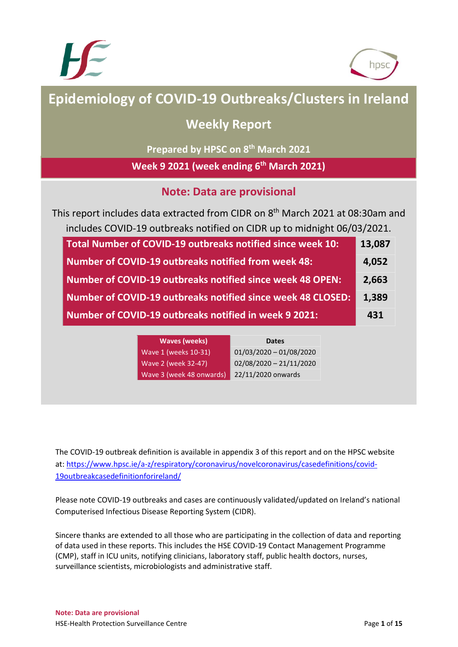



# **Epidemiology of COVID-19 Outbreaks/Clusters in Ireland**

## **Weekly Report**

**Prepared by HPSC on 8 th March 2021**

**Week 9 2021 (week ending 6 th March 2021)**

## **Note: Data are provisional**

This report includes data extracted from CIDR on 8<sup>th</sup> March 2021 at 08:30am and includes COVID-19 outbreaks notified on CIDR up to midnight 06/03/2021.

| Total Number of COVID-19 outbreaks notified since week 10:         | 13,087 |
|--------------------------------------------------------------------|--------|
| <b>Number of COVID-19 outbreaks notified from week 48:</b>         | 4,052  |
| <b>Number of COVID-19 outbreaks notified since week 48 OPEN:</b>   | 2,663  |
| <b>Number of COVID-19 outbreaks notified since week 48 CLOSED:</b> | 1,389  |
| Number of COVID-19 outbreaks notified in week 9 2021:              | 431    |

| <b>Waves (weeks)</b>     | <b>Dates</b>              |
|--------------------------|---------------------------|
| Wave 1 (weeks 10-31)     | $01/03/2020 - 01/08/2020$ |
| Wave 2 (week 32-47)      | 02/08/2020 - 21/11/2020   |
| Wave 3 (week 48 onwards) | 22/11/2020 onwards        |

The COVID-19 outbreak definition is available in appendix 3 of this report and on the HPSC website at: [https://www.hpsc.ie/a-z/respiratory/coronavirus/novelcoronavirus/casedefinitions/covid-](https://www.hpsc.ie/a-z/respiratory/coronavirus/novelcoronavirus/casedefinitions/covid-19outbreakcasedefinitionforireland/)[19outbreakcasedefinitionforireland/](https://www.hpsc.ie/a-z/respiratory/coronavirus/novelcoronavirus/casedefinitions/covid-19outbreakcasedefinitionforireland/)

Please note COVID-19 outbreaks and cases are continuously validated/updated on Ireland's national Computerised Infectious Disease Reporting System (CIDR).

Sincere thanks are extended to all those who are participating in the collection of data and reporting of data used in these reports. This includes the HSE COVID-19 Contact Management Programme (CMP), staff in ICU units, notifying clinicians, laboratory staff, public health doctors, nurses, surveillance scientists, microbiologists and administrative staff.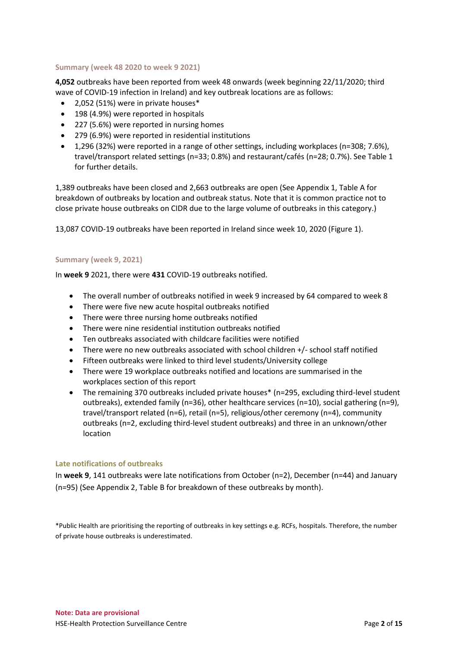## **Summary (week 48 2020 to week 9 2021)**

**4,052** outbreaks have been reported from week 48 onwards (week beginning 22/11/2020; third wave of COVID-19 infection in Ireland) and key outbreak locations are as follows:

- 2,052 (51%) were in private houses\*
- 198 (4.9%) were reported in hospitals
- 227 (5.6%) were reported in nursing homes
- 279 (6.9%) were reported in residential institutions
- 1,296 (32%) were reported in a range of other settings, including workplaces (n=308; 7.6%), travel/transport related settings (n=33; 0.8%) and restaurant/cafés (n=28; 0.7%). See Table 1 for further details.

1,389 outbreaks have been closed and 2,663 outbreaks are open (See Appendix 1, Table A for breakdown of outbreaks by location and outbreak status. Note that it is common practice not to close private house outbreaks on CIDR due to the large volume of outbreaks in this category.)

13,087 COVID-19 outbreaks have been reported in Ireland since week 10, 2020 (Figure 1).

#### **Summary (week 9, 2021)**

In **week 9** 2021, there were **431** COVID-19 outbreaks notified.

- The overall number of outbreaks notified in week 9 increased by 64 compared to week 8
- There were five new acute hospital outbreaks notified
- There were three nursing home outbreaks notified
- There were nine residential institution outbreaks notified
- Ten outbreaks associated with childcare facilities were notified
- There were no new outbreaks associated with school children +/- school staff notified
- Fifteen outbreaks were linked to third level students/University college
- There were 19 workplace outbreaks notified and locations are summarised in the workplaces section of this report
- The remaining 370 outbreaks included private houses\* (n=295, excluding third-level student outbreaks), extended family (n=36), other healthcare services (n=10), social gathering (n=9), travel/transport related (n=6), retail (n=5), religious/other ceremony (n=4), community outbreaks (n=2, excluding third-level student outbreaks) and three in an unknown/other location

## **Late notifications of outbreaks**

In **week 9**, 141 outbreaks were late notifications from October (n=2), December (n=44) and January (n=95) (See Appendix 2, Table B for breakdown of these outbreaks by month).

\*Public Health are prioritising the reporting of outbreaks in key settings e.g. RCFs, hospitals. Therefore, the number of private house outbreaks is underestimated.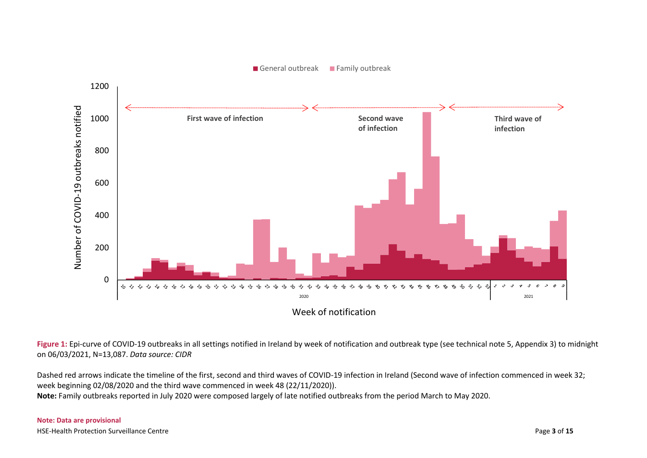

Figure 1: Epi-curve of COVID-19 outbreaks in all settings notified in Ireland by week of notification and outbreak type (see technical note 5, Appendix 3) to midnight on 06/03/2021, N=13,087. *Data source: CIDR* 

Dashed red arrows indicate the timeline of the first, second and third waves of COVID-19 infection in Ireland (Second wave of infection commenced in week 32; week beginning 02/08/2020 and the third wave commenced in week 48 (22/11/2020)). **Note:** Family outbreaks reported in July 2020 were composed largely of late notified outbreaks from the period March to May 2020.

#### **Note: Data are provisional** HSE-Health Protection Surveillance Centre Page **3** of **15**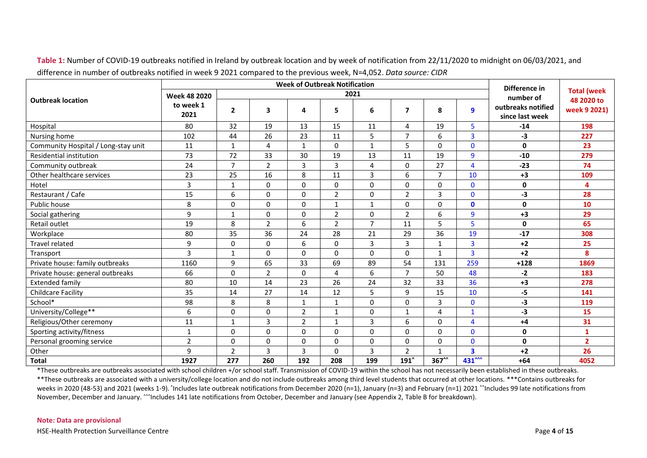|                                     |                     |                |                |                | <b>Week of Outbreak Notification</b> |                |                          |                |                         | Difference in                         |                                  |  |
|-------------------------------------|---------------------|----------------|----------------|----------------|--------------------------------------|----------------|--------------------------|----------------|-------------------------|---------------------------------------|----------------------------------|--|
|                                     | <b>Week 48 2020</b> |                |                |                | 2021                                 |                |                          |                |                         | number of                             | <b>Total (week</b><br>48 2020 to |  |
| <b>Outbreak location</b>            | to week 1<br>2021   | $\overline{2}$ | 3              | 4              | 5                                    | 6              | $\overline{\phantom{a}}$ | 8              | 9                       | outbreaks notified<br>since last week | week 9 2021)                     |  |
| Hospital                            | 80                  | 32             | 19             | 13             | 15                                   | 11             | 4                        | 19             | 5                       | $-14$                                 | 198                              |  |
| Nursing home                        | 102                 | 44             | 26             | 23             | 11                                   | 5              | $\overline{7}$           | 6              | $\overline{\mathbf{3}}$ | $-3$                                  | 227                              |  |
| Community Hospital / Long-stay unit | 11                  | $\mathbf{1}$   | 4              | $\mathbf{1}$   | $\Omega$                             | $\mathbf{1}$   | 5                        | 0              | $\mathbf{0}$            | $\mathbf{0}$                          | 23                               |  |
| <b>Residential institution</b>      | 73                  | 72             | 33             | 30             | 19                                   | 13             | 11                       | 19             | 9                       | $-10$                                 | 279                              |  |
| Community outbreak                  | 24                  | $\overline{7}$ | $\overline{2}$ | 3              | 3                                    | $\overline{4}$ | $\mathbf 0$              | 27             | 4                       | $-23$                                 | 74                               |  |
| Other healthcare services           | 23                  | 25             | 16             | 8              | 11                                   | 3              | 6                        | $\overline{7}$ | 10                      | $+3$                                  | 109                              |  |
| Hotel                               | 3                   | $\mathbf{1}$   | $\mathbf 0$    | $\Omega$       | $\Omega$                             | $\Omega$       | $\mathbf 0$              | 0              | $\mathbf 0$             | $\mathbf{0}$                          | 4                                |  |
| Restaurant / Cafe                   | 15                  | 6              | 0              | $\Omega$       | $\overline{2}$                       | $\mathbf{0}$   | $\overline{2}$           | 3              | $\mathbf{0}$            | $-3$                                  | 28                               |  |
| Public house                        | 8                   | $\Omega$       | $\Omega$       | $\Omega$       | $\mathbf{1}$                         | $\mathbf{1}$   | $\mathbf 0$              | 0              | $\mathbf{0}$            | $\mathbf{0}$                          | 10                               |  |
| Social gathering                    | 9                   | 1              | 0              | 0              | $\overline{2}$                       | $\mathbf 0$    | $\overline{2}$           | 6              | 9                       | $+3$                                  | 29                               |  |
| Retail outlet                       | 19                  | 8              | $\overline{2}$ | 6              | $\overline{2}$                       | $\overline{7}$ | 11                       | 5              | 5                       | $\mathbf 0$                           | 65                               |  |
| Workplace                           | 80                  | 35             | 36             | 24             | 28                                   | 21             | 29                       | 36             | 19                      | $-17$                                 | 308                              |  |
| Travel related                      | 9                   | 0              | $\mathbf 0$    | 6              | 0                                    | 3              | 3                        | $\mathbf 1$    | 3                       | $+2$                                  | 25                               |  |
| Transport                           | 3                   | 1              | $\mathbf 0$    | $\Omega$       | $\Omega$                             | $\Omega$       | $\mathbf 0$              | $\mathbf 1$    | 3                       | $+2$                                  | 8                                |  |
| Private house: family outbreaks     | 1160                | 9              | 65             | 33             | 69                                   | 89             | 54                       | 131            | 259                     | $+128$                                | 1869                             |  |
| Private house: general outbreaks    | 66                  | 0              | $\overline{2}$ | $\Omega$       | 4                                    | 6              | $\overline{7}$           | 50             | 48                      | $-2$                                  | 183                              |  |
| <b>Extended family</b>              | 80                  | 10             | 14             | 23             | 26                                   | 24             | 32                       | 33             | 36                      | $+3$                                  | 278                              |  |
| <b>Childcare Facility</b>           | 35                  | 14             | 27             | 14             | 12                                   | 5              | 9                        | 15             | 10                      | $-5$                                  | 141                              |  |
| School*                             | 98                  | 8              | 8              | 1              | 1                                    | $\mathbf{0}$   | $\pmb{0}$                | 3              | $\mathbf 0$             | $-3$                                  | 119                              |  |
| University/College**                | 6                   | $\Omega$       | $\Omega$       | $\overline{2}$ | $\mathbf{1}$                         | $\mathbf{0}$   | $\mathbf{1}$             | 4              | $\mathbf{1}$            | $-3$                                  | 15                               |  |
| Religious/Other ceremony            | 11                  | 1              | 3              | $\overline{2}$ | $\mathbf{1}$                         | 3              | 6                        | 0              | 4                       | $+4$                                  | 31                               |  |
| Sporting activity/fitness           | $\mathbf{1}$        | 0              | $\mathbf 0$    | 0              | 0                                    | 0              | $\mathbf 0$              | 0              | $\mathbf 0$             | 0                                     | $\mathbf{1}$                     |  |
| Personal grooming service           | $\overline{2}$      | 0              | $\mathbf 0$    | 0              | 0                                    | 0              | 0                        | 0              | $\mathbf 0$             | 0                                     | $\overline{2}$                   |  |
| Other                               | 9                   | $\mathbf 2$    | 3              | 3              | 0                                    | 3              | $\mathbf 2$              | $\mathbf{1}$   | 3                       | $+2$                                  | 26                               |  |
| <b>Total</b>                        | 1927                | 277            | 260            | 192            | 208                                  | 199            | $191^$                   | 367^^          | 431 <sup>^^^</sup>      | $+64$                                 | 4052                             |  |

**Table 1:** Number of COVID-19 outbreaks notified in Ireland by outbreak location and by week of notification from 22/11/2020 to midnight on 06/03/2021, and difference in number of outbreaks notified in week 9 2021 compared to the previous week, N=4,052. *Data source: CIDR*

\*These outbreaks are outbreaks associated with school children +/or school staff. Transmission of COVID-19 within the school has not necessarily been established in these outbreaks. \*\*These outbreaks are associated with a university/college location and do not include outbreaks among third level students that occurred at other locations. \*\*\*Contains outbreaks for weeks in 2020 (48-53) and 2021 (weeks 1-9). 'Includes late outbreak notifications from December 2020 (n=1), January (n=3) and February (n=1) 2021 ^'Includes 99 late notifications from November, December and January. ^^^Includes 141 late notifications from October, December and January (see Appendix 2, Table B for breakdown).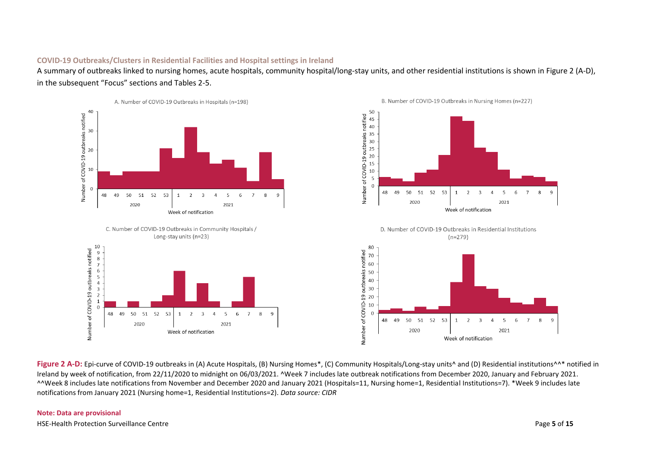#### **COVID-19 Outbreaks/Clusters in Residential Facilities and Hospital settings in Ireland**

A summary of outbreaks linked to nursing homes, acute hospitals, community hospital/long-stay units, and other residential institutions is shown in Figure 2 (A-D), in the subsequent "Focus" sections and Tables 2-5.



Figure 2 A-D: Epi-curve of COVID-19 outbreaks in (A) Acute Hospitals, (B) Nursing Homes\*, (C) Community Hospitals/Long-stay units<sup>^</sup> and (D) Residential institutions^^\* notified in Ireland by week of notification, from 22/11/2020 to midnight on 06/03/2021. ^Week 7 includes late outbreak notifications from December 2020, January and February 2021. ^^Week 8 includes late notifications from November and December 2020 and January 2021 (Hospitals=11, Nursing home=1, Residential Institutions=7). \*Week 9 includes late notifications from January 2021 (Nursing home=1, Residential Institutions=2). *Data source: CIDR*

## **Note: Data are provisional**

HSE-Health Protection Surveillance Centre Page **5** of **15**

 $\overline{8}$  $\overline{9}$ 

8  $\mathbf{q}$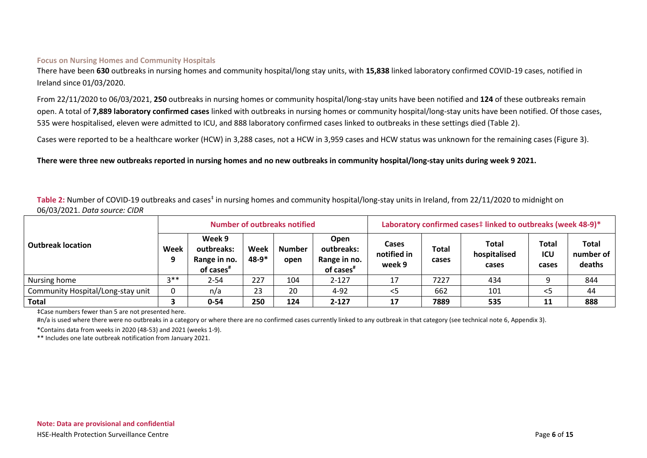#### **Focus on Nursing Homes and Community Hospitals**

There have been **630** outbreaks in nursing homes and community hospital/long stay units, with **15,838** linked laboratory confirmed COVID-19 cases, notified in Ireland since 01/03/2020.

From 22/11/2020 to 06/03/2021, **250** outbreaks in nursing homes or community hospital/long-stay units have been notified and **124** of these outbreaks remain open. A total of **7,889 laboratory confirmed cases** linked with outbreaks in nursing homes or community hospital/long-stay units have been notified. Of those cases, 535 were hospitalised, eleven were admitted to ICU, and 888 laboratory confirmed cases linked to outbreaks in these settings died (Table 2).

Cases were reported to be a healthcare worker (HCW) in 3,288 cases, not a HCW in 3,959 cases and HCW status was unknown for the remaining cases (Figure 3).

### **There were three new outbreaks reported in nursing homes and no new outbreaks in community hospital/long-stay units during week 9 2021.**

Table 2: Number of COVID-19 outbreaks and cases<sup>‡</sup> in nursing homes and community hospital/long-stay units in Ireland, from 22/11/2020 to midnight on 06/03/2021. *Data source: CIDR*

|                                   |           |                                                               |               | Number of outbreaks notified |                                                             | Laboratory confirmed cases# linked to outbreaks (week 48-9)* |                       |                                |                              |                                     |  |
|-----------------------------------|-----------|---------------------------------------------------------------|---------------|------------------------------|-------------------------------------------------------------|--------------------------------------------------------------|-----------------------|--------------------------------|------------------------------|-------------------------------------|--|
| <b>Outbreak location</b>          | Week<br>9 | Week 9<br>outbreaks:<br>Range in no.<br>of cases <sup>#</sup> | Week<br>48-9* | Number<br>open               | Open<br>outbreaks:<br>Range in no.<br>of cases <sup>#</sup> | Cases<br>notified in<br>week 9                               | <b>Total</b><br>cases | Total<br>hospitalised<br>cases | <b>Total</b><br>ICU<br>cases | <b>Total</b><br>number of<br>deaths |  |
| Nursing home                      | $2**$     | $2 - 54$                                                      | 227           | 104                          | $2 - 127$                                                   | 17                                                           | 7227                  | 434                            |                              | 844                                 |  |
| Community Hospital/Long-stay unit | 0         | n/a                                                           | 23            | 20                           | $4 - 92$                                                    | $<$ 5                                                        | 662                   | 101                            | <5                           | 44                                  |  |
| Total                             |           | $0 - 54$                                                      | 250           | 124                          | $2 - 127$                                                   | 17                                                           | 7889                  | 535                            | 11                           | 888                                 |  |

‡Case numbers fewer than 5 are not presented here.

#n/a is used where there were no outbreaks in a category or where there are no confirmed cases currently linked to any outbreak in that category (see technical note 6, Appendix 3).

\*Contains data from weeks in 2020 (48-53) and 2021 (weeks 1-9).

\*\* Includes one late outbreak notification from January 2021.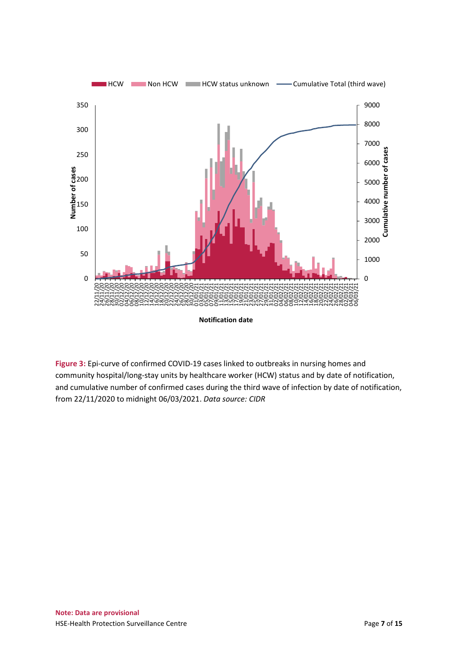

**Figure 3:** Epi-curve of confirmed COVID-19 cases linked to outbreaks in nursing homes and community hospital/long-stay units by healthcare worker (HCW) status and by date of notification, and cumulative number of confirmed cases during the third wave of infection by date of notification, from 22/11/2020 to midnight 06/03/2021. *Data source: CIDR*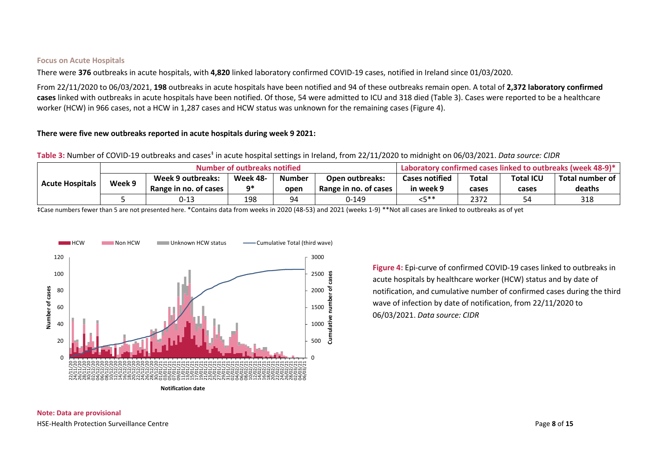#### **Focus on Acute Hospitals**

There were **376** outbreaks in acute hospitals, with **4,820** linked laboratory confirmed COVID-19 cases, notified in Ireland since 01/03/2020.

From 22/11/2020 to 06/03/2021, **198** outbreaks in acute hospitals have been notified and 94 of these outbreaks remain open. A total of **2,372 laboratory confirmed cases** linked with outbreaks in acute hospitals have been notified. Of those, 54 were admitted to ICU and 318 died (Table 3). Cases were reported to be a healthcare worker (HCW) in 966 cases, not a HCW in 1,287 cases and HCW status was unknown for the remaining cases (Figure 4).

#### **There were five new outbreaks reported in acute hospitals during week 9 2021:**

**Table 3:** Number of COVID-19 outbreaks and cases‡ in acute hospital settings in Ireland, from 22/11/2020 to midnight on 06/03/2021. *Data source: CIDR*

|                                  |  | Number of outbreaks notified | Laboratory confirmed cases linked to outbreaks (week 48-9)* |               |                        |                       |                           |       |                 |
|----------------------------------|--|------------------------------|-------------------------------------------------------------|---------------|------------------------|-----------------------|---------------------------|-------|-----------------|
| Week 9<br><b>Acute Hospitals</b> |  | Week 9 outbreaks:            | <b>Week 48-</b>                                             | <b>Number</b> | <b>Open outbreaks:</b> | <b>Cases notified</b> | <b>Total ICU</b><br>Total |       | Total number of |
|                                  |  | Range in no. of cases        | n*                                                          | open          | Range in no. of cases  | in week 9             | cases                     | cases | deaths          |
|                                  |  | 0-13                         | 198                                                         | 94            | 0-149                  | <b>レビ**</b>           | 2372                      | 54.   | 318             |

‡Case numbers fewer than 5 are not presented here. \*Contains data from weeks in 2020 (48-53) and 2021 (weeks 1-9) \*\*Not all cases are linked to outbreaks as of yet



**Figure 4:** Epi-curve of confirmed COVID-19 cases linked to outbreaks in acute hospitals by healthcare worker (HCW) status and by date of notification, and cumulative number of confirmed cases during the third wave of infection by date of notification, from 22/11/2020 to 06/03/2021. *Data source: CIDR*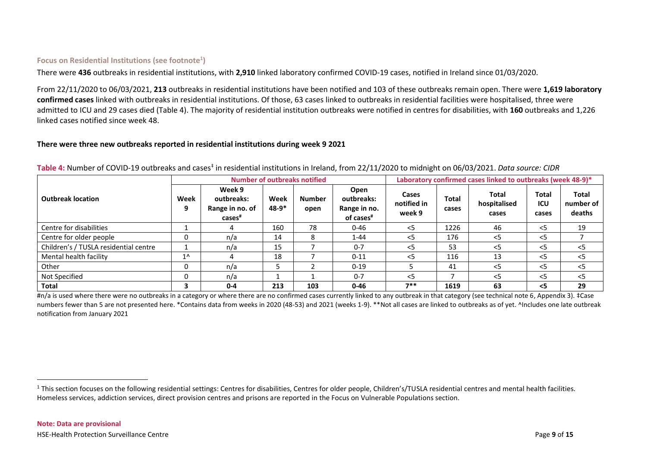## **Focus on Residential Institutions (see footnote<sup>1</sup> )**

There were **436** outbreaks in residential institutions, with **2,910** linked laboratory confirmed COVID-19 cases, notified in Ireland since 01/03/2020.

From 22/11/2020 to 06/03/2021, **213** outbreaks in residential institutions have been notified and 103 of these outbreaks remain open. There were **1,619 laboratory confirmed cases** linked with outbreaks in residential institutions. Of those, 63 cases linked to outbreaks in residential facilities were hospitalised, three were admitted to ICU and 29 cases died (Table 4). The majority of residential institution outbreaks were notified in centres for disabilities, with **160** outbreaks and 1,226 linked cases notified since week 48.

#### **There were three new outbreaks reported in residential institutions during week 9 2021**

|                                       |              |                                                               |                 | <b>Number of outbreaks notified</b> |                                                             | Laboratory confirmed cases linked to outbreaks (week 48-9)* |                       |                                |                       |                                     |  |
|---------------------------------------|--------------|---------------------------------------------------------------|-----------------|-------------------------------------|-------------------------------------------------------------|-------------------------------------------------------------|-----------------------|--------------------------------|-----------------------|-------------------------------------|--|
| <b>Outbreak location</b>              | Week<br>9    | Week 9<br>outbreaks:<br>Range in no. of<br>cases <sup>#</sup> | Week<br>$48-9*$ | <b>Number</b><br>open               | Open<br>outbreaks:<br>Range in no.<br>of cases <sup>#</sup> | Cases<br>notified in<br>week 9                              | <b>Total</b><br>cases | Total<br>hospitalised<br>cases | Total<br>ICU<br>cases | <b>Total</b><br>number of<br>deaths |  |
| Centre for disabilities               |              | 4                                                             | 160             | 78                                  | $0 - 46$                                                    | $<$ 5                                                       | 1226                  | 46                             | $<$ 5                 | 19                                  |  |
| Centre for older people               | 0            | n/a                                                           | 14              | 8                                   | $1 - 44$                                                    | $<$ 5                                                       | 176                   | $<$ 5                          | <5                    |                                     |  |
| Children's / TUSLA residential centre |              | n/a                                                           | 15              |                                     | $0 - 7$                                                     | $<$ 5                                                       | 53                    | $<$ 5                          | <5                    | $<$ 5                               |  |
| Mental health facility                | $1^{\wedge}$ | 4                                                             | 18              |                                     | $0 - 11$                                                    | $<$ 5                                                       | 116                   | 13                             | $<$ 5                 | $<$ 5                               |  |
| Other                                 | 0            | n/a                                                           |                 |                                     | $0 - 19$                                                    |                                                             | 41                    | $<$ 5                          | $<$ 5                 | < 5                                 |  |
| Not Specified                         | $\Omega$     | n/a                                                           |                 |                                     | $0 - 7$                                                     | $<$ 5                                                       |                       | $<$ 5                          | $<$ 5                 | $<$ 5                               |  |
| Total                                 | 3            | $0 - 4$                                                       | 213             | 103                                 | $0 - 46$                                                    | $7**$                                                       | 1619                  | 63                             | $\leq$                | 29                                  |  |

Table 4: Number of COVID-19 outbreaks and cases<sup>‡</sup> in residential institutions in Ireland, from 22/11/2020 to midnight on 06/03/2021. *Data source: CIDR* 

#n/a is used where there were no outbreaks in a category or where there are no confirmed cases currently linked to any outbreak in that category (see technical note 6, Appendix 3). ‡Case numbers fewer than 5 are not presented here. \*Contains data from weeks in 2020 (48-53) and 2021 (weeks 1-9). \*\*Not all cases are linked to outbreaks as of yet. ^Includes one late outbreak notification from January 2021

 $\overline{a}$ 

<sup>&</sup>lt;sup>1</sup> This section focuses on the following residential settings: Centres for disabilities, Centres for older people, Children's/TUSLA residential centres and mental health facilities. Homeless services, addiction services, direct provision centres and prisons are reported in the Focus on Vulnerable Populations section.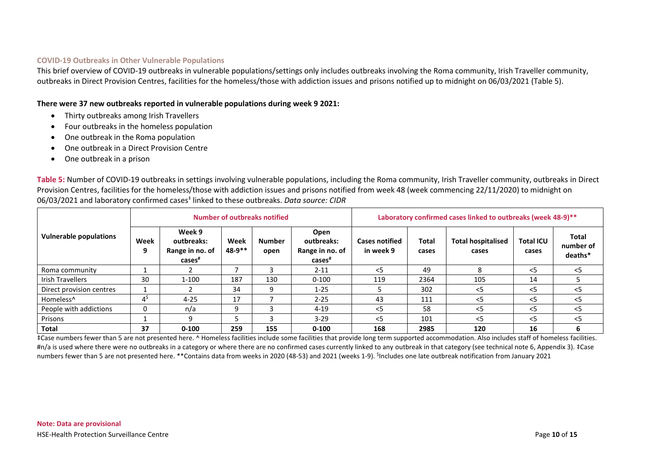#### **COVID-19 Outbreaks in Other Vulnerable Populations**

This brief overview of COVID-19 outbreaks in vulnerable populations/settings only includes outbreaks involving the Roma community, Irish Traveller community, outbreaks in Direct Provision Centres, facilities for the homeless/those with addiction issues and prisons notified up to midnight on 06/03/2021 (Table 5).

**There were 37 new outbreaks reported in vulnerable populations during week 9 2021:** 

- Thirty outbreaks among Irish Travellers
- Four outbreaks in the homeless population
- One outbreak in the Roma population
- One outbreak in a Direct Provision Centre
- One outbreak in a prison

**Table 5:** Number of COVID-19 outbreaks in settings involving vulnerable populations, including the Roma community, Irish Traveller community, outbreaks in Direct Provision Centres, facilities for the homeless/those with addiction issues and prisons notified from week 48 (week commencing 22/11/2020) to midnight on 06/03/2021 and laboratory confirmed cases<sup>‡</sup> linked to these outbreaks. *Data source: CIDR* 

|                               |           |                                                         |                | Number of outbreaks notified |                                                             | Laboratory confirmed cases linked to outbreaks (week 48-9)** |                |                                    |                           |                                      |  |  |
|-------------------------------|-----------|---------------------------------------------------------|----------------|------------------------------|-------------------------------------------------------------|--------------------------------------------------------------|----------------|------------------------------------|---------------------------|--------------------------------------|--|--|
| <b>Vulnerable populations</b> | Week<br>9 | Week 9<br>outbreaks:<br>Range in no. of<br>$cases^{\#}$ | Week<br>48-9** | <b>Number</b><br>open        | Open<br>outbreaks:<br>Range in no. of<br>cases <sup>#</sup> | <b>Cases notified</b><br>in week 9                           | Total<br>cases | <b>Total hospitalised</b><br>cases | <b>Total ICU</b><br>cases | <b>Total</b><br>number of<br>deaths* |  |  |
| Roma community                |           |                                                         |                |                              | $2 - 11$                                                    | $<$ 5                                                        | 49             | 8                                  | $<$ 5                     | $<$ 5                                |  |  |
| <b>Irish Travellers</b>       | 30        | $1 - 100$                                               | 187            | 130                          | $0 - 100$                                                   | 119                                                          | 2364           | 105                                | 14                        |                                      |  |  |
| Direct provision centres      |           |                                                         | 34             | 9                            | $1 - 25$                                                    |                                                              | 302            | $<$ 5                              | $<$ 5                     | $<$ 5                                |  |  |
| Homeless <sup>^</sup>         | 45        | $4 - 25$                                                | 17             |                              | $2 - 25$                                                    | 43                                                           | 111            | $<$ 5                              | $<$ 5                     | $<$ 5                                |  |  |
| People with addictions        | 0         | n/a                                                     | 9              |                              | $4 - 19$                                                    | $<$ 5                                                        | 58             | $<$ 5                              | $<$ 5                     | $<$ 5                                |  |  |
| Prisons                       |           | q                                                       |                |                              | $3-29$                                                      | $\leq$                                                       | 101            | $\leq$ 5                           | $<$ 5                     | $\leq$                               |  |  |
| Total                         | 37        | $0 - 100$                                               | 259            | 155                          | $0 - 100$                                                   | 168                                                          | 2985           | 120                                | 16                        | 6                                    |  |  |

‡Case numbers fewer than 5 are not presented here. ^ Homeless facilities include some facilities that provide long term supported accommodation. Also includes staff of homeless facilities. #n/a is used where there were no outbreaks in a category or where there are no confirmed cases currently linked to any outbreak in that category (see technical note 6, Appendix 3). ‡Case numbers fewer than 5 are not presented here. \*\*Contains data from weeks in 2020 (48-53) and 2021 (weeks 1-9). <sup>\$</sup>Includes one late outbreak notification from January 2021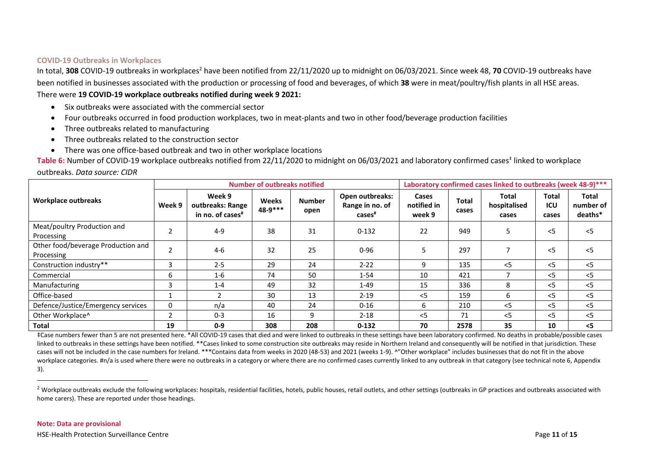#### **COVID-19 Outbreaks in Workplaces**

In total, 308 COVID-19 outbreaks in workplaces<sup>2</sup> have been notified from 22/11/2020 up to midnight on 06/03/2021. Since week 48, 70 COVID-19 outbreaks have been notified in businesses associated with the production or processing of food and beverages, of which **38** were in meat/poultry/fish plants in all HSE areas. There were **19 COVID-19 workplace outbreaks notified during week 9 2021:**

- Six outbreaks were associated with the commercial sector
- Four outbreaks occurred in food production workplaces, two in meat-plants and two in other food/beverage production facilities
- Three outbreaks related to manufacturing
- Three outbreaks related to the construction sector
- There was one office-based outbreak and two in other workplace locations

Table 6: Number of COVID-19 workplace outbreaks notified from 22/11/2020 to midnight on 06/03/2021 and laboratory confirmed cases<sup>‡</sup> linked to workplace

|  | outbreaks. Data source: CIDR |  |
|--|------------------------------|--|
|--|------------------------------|--|

|                                                  |        |                                                            | <b>Number of outbreaks notified</b> |                       | Laboratory confirmed cases linked to outbreaks (week 48-9)*** |                                |                       |                                       |                       |                                      |
|--------------------------------------------------|--------|------------------------------------------------------------|-------------------------------------|-----------------------|---------------------------------------------------------------|--------------------------------|-----------------------|---------------------------------------|-----------------------|--------------------------------------|
| Workplace outbreaks                              | Week 9 | Week 9<br>outbreaks: Range<br>in no. of cases <sup>#</sup> | <b>Weeks</b><br>48-9***             | <b>Number</b><br>open | Open outbreaks:<br>Range in no. of<br>cases <sup>#</sup>      | Cases<br>notified in<br>week 9 | <b>Total</b><br>cases | <b>Total</b><br>hospitalised<br>cases | Total<br>ICU<br>cases | <b>Total</b><br>number of<br>deaths* |
| Meat/poultry Production and<br>Processing        |        | $4 - 9$                                                    | 38                                  | 31                    | $0 - 132$                                                     | 22                             | 949                   | 5                                     | $<$ 5                 | $<$ 5                                |
| Other food/beverage Production and<br>Processing |        | $4-6$                                                      | 32                                  | 25                    | $0 - 96$                                                      |                                | 297                   |                                       | $<$ 5                 | $<$ 5                                |
| Construction industry**                          | 3      | $2 - 5$                                                    | 29                                  | 24                    | $2 - 22$                                                      | 9                              | 135                   | $<$ 5                                 | $<$ 5                 | $<$ 5                                |
| Commercial                                       | 6      | $1 - 6$                                                    | 74                                  | 50                    | $1 - 54$                                                      | 10                             | 421                   |                                       | $<$ 5                 | $<$ 5                                |
| Manufacturing                                    | 3      | $1 - 4$                                                    | 49                                  | 32                    | $1 - 49$                                                      | 15                             | 336                   | 8                                     | $<$ 5                 | $<$ 5                                |
| Office-based                                     |        | $\overline{2}$                                             | 30                                  | 13                    | $2 - 19$                                                      | $<$ 5                          | 159                   | 6                                     | $<$ 5                 | $<$ 5                                |
| Defence/Justice/Emergency services               | 0      | n/a                                                        | 40                                  | 24                    | $0 - 16$                                                      | 6                              | 210                   | $<$ 5                                 | $<$ 5                 | $<$ 5                                |
| Other Workplace^                                 |        | $0 - 3$                                                    | 16                                  | 9                     | $2 - 18$                                                      | $<$ 5                          | 71                    | $<$ 5                                 | $<$ 5                 | $<$ 5                                |
| <b>Total</b>                                     | 19     | $0 - 9$                                                    | 308                                 | 208                   | $0 - 132$                                                     | 70                             | 2578                  | 35                                    | 10                    | $<$ 5                                |

‡Case numbers fewer than 5 are not presented here. \*All COVID-19 cases that died and were linked to outbreaks in these settings have been laboratory confirmed. No deaths in probable/possible cases linked to outbreaks in these settings have been notified. \*\*Cases linked to some construction site outbreaks may reside in Northern Ireland and consequently will be notified in that jurisdiction. These cases will not be included in the case numbers for Ireland. \*\*\*Contains data from weeks in 2020 (48-53) and 2021 (weeks 1-9). ^"Other workplace" includes businesses that do not fit in the above workplace categories. #n/a is used where there were no outbreaks in a category or where there are no confirmed cases currently linked to any outbreak in that category (see technical note 6, Appendix 3).

<sup>2</sup> Workplace outbreaks exclude the following workplaces: hospitals, residential facilities, hotels, public houses, retail outlets, and other settings (outbreaks in GP practices and outbreaks associated with home carers). These are reported under those headings.

 $\overline{a}$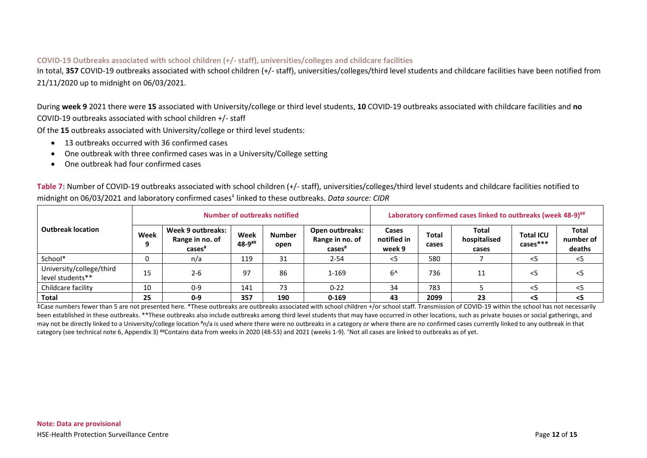### **COVID-19 Outbreaks associated with school children (+/- staff), universities/colleges and childcare facilities**

In total, **357** COVID-19 outbreaks associated with school children (+/- staff), universities/colleges/third level students and childcare facilities have been notified from 21/11/2020 up to midnight on 06/03/2021.

During **week 9** 2021 there were **15** associated with University/college or third level students, **10** COVID-19 outbreaks associated with childcare facilities and **no** COVID-19 outbreaks associated with school children +/- staff

Of the **15** outbreaks associated with University/college or third level students:

- 13 outbreaks occurred with 36 confirmed cases
- One outbreak with three confirmed cases was in a University/College setting
- One outbreak had four confirmed cases

**Table 7:** Number of COVID-19 outbreaks associated with school children (+/- staff), universities/colleges/third level students and childcare facilities notified to midnight on 06/03/2021 and laboratory confirmed cases‡ linked to these outbreaks. *Data source: CIDR*

|                                              |      |                                                            |                | Number of outbreaks notified |                                                          | Laboratory confirmed cases linked to outbreaks (week 48-9) <sup>##</sup> |                |                                |                                |                              |  |  |
|----------------------------------------------|------|------------------------------------------------------------|----------------|------------------------------|----------------------------------------------------------|--------------------------------------------------------------------------|----------------|--------------------------------|--------------------------------|------------------------------|--|--|
| <b>Outbreak location</b>                     | Week | Week 9 outbreaks:<br>Range in no. of<br>cases <sup>#</sup> | Week<br>48-9## | <b>Number</b><br>open        | Open outbreaks:<br>Range in no. of<br>cases <sup>#</sup> | Cases<br>notified in<br>week 9                                           | Total<br>cases | Total<br>hospitalised<br>cases | <b>Total ICU</b><br>$cases***$ | Total<br>number of<br>deaths |  |  |
| School*                                      |      | n/a                                                        | 119            | 31                           | $2 - 54$                                                 | <5                                                                       | 580            |                                | $<$ 5                          | <5                           |  |  |
| University/college/third<br>level students** | 15   | $2 - 6$                                                    | 97             | 86                           | $1 - 169$                                                | $6^{\prime}$                                                             | 736            | 11                             | $<$ 5                          | - <5                         |  |  |
| Childcare facility                           | 10   | $0 - 9$                                                    | 141            | 73                           | $0 - 22$                                                 | 34                                                                       | 783            |                                | $<$ 5                          | $\leq$                       |  |  |
| Total                                        | 25   | $0 - 9$                                                    | 357            | 190                          | $0 - 169$                                                | 43                                                                       | 2099           | 23                             | <5                             | <5                           |  |  |

‡Case numbers fewer than 5 are not presented here. \*These outbreaks are outbreaks associated with school children +/or school staff. Transmission of COVID-19 within the school has not necessarily been established in these outbreaks. \*\*These outbreaks also include outbreaks among third level students that may have occurred in other locations, such as private houses or social gatherings, and may not be directly linked to a University/college location #n/a is used where there were no outbreaks in a category or where there are no confirmed cases currently linked to any outbreak in that category (see technical note 6, Appendix 3) ##Contains data from weeks in 2020 (48-53) and 2021 (weeks 1-9). 'Not all cases are linked to outbreaks as of yet.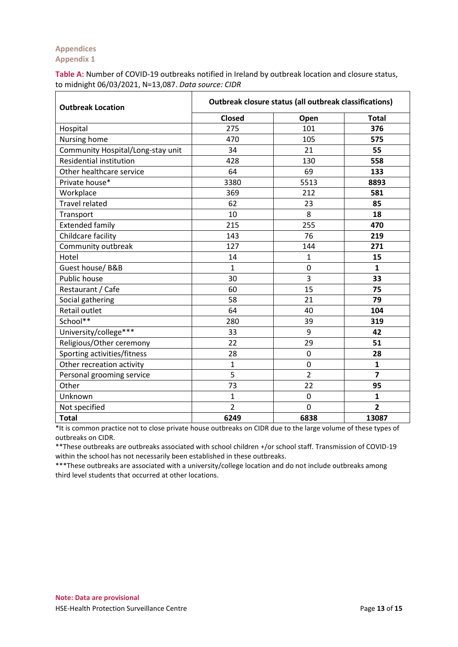## **Appendices Appendix 1**

**Table A:** Number of COVID-19 outbreaks notified in Ireland by outbreak location and closure status, to midnight 06/03/2021, N=13,087. *Data source: CIDR*

| <b>Outbreak Location</b>          | Outbreak closure status (all outbreak classifications) |                |                |  |  |  |  |  |
|-----------------------------------|--------------------------------------------------------|----------------|----------------|--|--|--|--|--|
|                                   | <b>Closed</b>                                          | Open           | <b>Total</b>   |  |  |  |  |  |
| Hospital                          | 275                                                    | 101            | 376            |  |  |  |  |  |
| Nursing home                      | 470                                                    | 105            | 575            |  |  |  |  |  |
| Community Hospital/Long-stay unit | 34                                                     | 21             | 55             |  |  |  |  |  |
| Residential institution           | 428                                                    | 130            | 558            |  |  |  |  |  |
| Other healthcare service          | 64                                                     | 69             | 133            |  |  |  |  |  |
| Private house*                    | 3380                                                   | 5513           | 8893           |  |  |  |  |  |
| Workplace                         | 369                                                    | 212            | 581            |  |  |  |  |  |
| <b>Travel related</b>             | 62                                                     | 23             | 85             |  |  |  |  |  |
| Transport                         | 10                                                     | 8              | 18             |  |  |  |  |  |
| <b>Extended family</b>            | 215                                                    | 255            | 470            |  |  |  |  |  |
| Childcare facility                | 143                                                    | 76             | 219            |  |  |  |  |  |
| Community outbreak                | 127                                                    | 144            | 271            |  |  |  |  |  |
| Hotel                             | 14                                                     | 1              | 15             |  |  |  |  |  |
| Guest house/ B&B                  | $\mathbf{1}$                                           | 0              | $\mathbf{1}$   |  |  |  |  |  |
| Public house                      | 30                                                     | $\overline{3}$ | 33             |  |  |  |  |  |
| Restaurant / Cafe                 | 60                                                     | 15             | 75             |  |  |  |  |  |
| Social gathering                  | 58                                                     | 21             | 79             |  |  |  |  |  |
| Retail outlet                     | 64                                                     | 40             | 104            |  |  |  |  |  |
| School**                          | 280                                                    | 39             | 319            |  |  |  |  |  |
| University/college***             | 33                                                     | 9              | 42             |  |  |  |  |  |
| Religious/Other ceremony          | 22                                                     | 29             | 51             |  |  |  |  |  |
| Sporting activities/fitness       | 28                                                     | 0              | 28             |  |  |  |  |  |
| Other recreation activity         | $\mathbf{1}$                                           | 0              | $\mathbf{1}$   |  |  |  |  |  |
| Personal grooming service         | 5                                                      | $\overline{2}$ | $\overline{7}$ |  |  |  |  |  |
| Other                             | 73                                                     | 22             | 95             |  |  |  |  |  |
| Unknown                           | $\mathbf{1}$                                           | $\overline{0}$ | 1              |  |  |  |  |  |
| Not specified                     | $\overline{2}$                                         | 0              | $\overline{2}$ |  |  |  |  |  |
| <b>Total</b>                      | 6249                                                   | 6838           | 13087          |  |  |  |  |  |

\*It is common practice not to close private house outbreaks on CIDR due to the large volume of these types of outbreaks on CIDR.

\*\*These outbreaks are outbreaks associated with school children +/or school staff. Transmission of COVID-19 within the school has not necessarily been established in these outbreaks.

\*\*\*These outbreaks are associated with a university/college location and do not include outbreaks among third level students that occurred at other locations.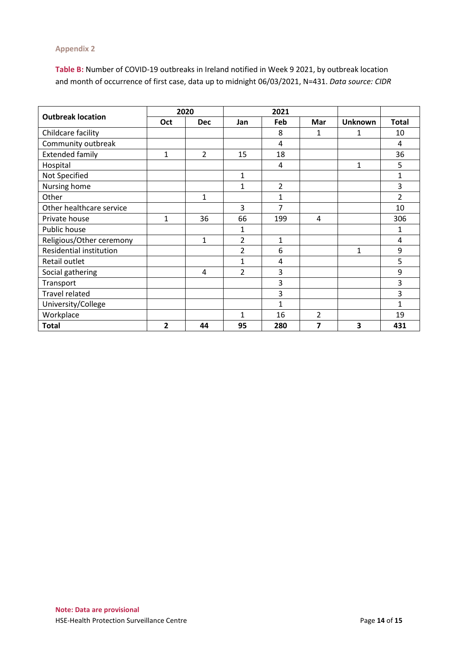## **Appendix 2**

**Table B:** Number of COVID-19 outbreaks in Ireland notified in Week 9 2021, by outbreak location and month of occurrence of first case, data up to midnight 06/03/2021, N=431. *Data source: CIDR*

|                          |                | 2020           |                | 2021           |     |                |                          |
|--------------------------|----------------|----------------|----------------|----------------|-----|----------------|--------------------------|
| <b>Outbreak location</b> | <b>Oct</b>     | <b>Dec</b>     | Jan            | Feb            | Mar | <b>Unknown</b> | <b>Total</b>             |
| Childcare facility       |                |                |                | 8              | 1   | 1              | 10                       |
| Community outbreak       |                |                |                | 4              |     |                | 4                        |
| <b>Extended family</b>   | 1              | $\overline{2}$ | 15             | 18             |     |                | 36                       |
| Hospital                 |                |                |                | 4              |     | 1              | 5                        |
| Not Specified            |                |                | 1              |                |     |                | 1                        |
| Nursing home             |                |                | 1              | $\overline{2}$ |     |                | 3                        |
| Other                    |                | 1              |                | 1              |     |                | $\overline{\phantom{a}}$ |
| Other healthcare service |                |                | 3              | 7              |     |                | 10                       |
| Private house            | $\mathbf{1}$   | 36             | 66             | 199            | 4   |                | 306                      |
| Public house             |                |                | 1              |                |     |                | 1                        |
| Religious/Other ceremony |                | $\mathbf{1}$   | $\overline{2}$ | $\mathbf{1}$   |     |                | 4                        |
| Residential institution  |                |                | $\overline{2}$ | 6              |     | 1              | 9                        |
| Retail outlet            |                |                | 1              | 4              |     |                | 5                        |
| Social gathering         |                | 4              | $\overline{2}$ | 3              |     |                | 9                        |
| Transport                |                |                |                | 3              |     |                | 3                        |
| <b>Travel related</b>    |                |                |                | 3              |     |                | 3                        |
| University/College       |                |                |                | $\mathbf{1}$   |     |                | 1                        |
| Workplace                |                |                | 1              | 16             | 2   |                | 19                       |
| <b>Total</b>             | $\overline{2}$ | 44             | 95             | 280            | 7   | 3              | 431                      |